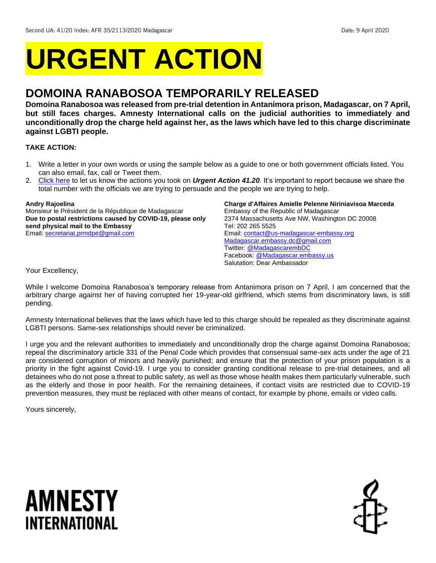# **URGENT ACTION**

## **DOMOINA RANABOSOA TEMPORARILY RELEASED**

**Domoina Ranabosoa was released from pre-trial detention in Antanimora prison, Madagascar, on 7 April, but still faces charges. Amnesty International calls on the judicial authorities to immediately and unconditionally drop the charge held against her, as the laws which have led to this charge discriminate against LGBTI people.** 

#### **TAKE ACTION:**

- 1. Write a letter in your own words or using the sample below as a guide to one or both government officials listed. You can also email, fax, call or Tweet them.
- 2. [Click here](https://www.amnestyusa.org/report-urgent-actions/) to let us know the actions you took on *Urgent Action 41.20.* It's important to report because we share the total number with the officials we are trying to persuade and the people we are trying to help.

#### **Andry Rajoelina**

Monsieur le Président de la République de Madagascar **Due to postal restrictions caused by COVID-19, please only send physical mail to the Embassy** Email[: secretariat.prmdpe@gmail.com](mailto:secretariat.prmdpe@gmail.com)

**Charge d'Affaires Amielle Pelenne Niriniavisoa Marceda**  Embassy of the Republic of Madagascar 2374 Massachusetts Ave NW, Washington DC 20008 Tel: 202 265 5525 Email[: contact@us-madagascar-embassy.org](mailto:contact@us-madagascar-embassy.org) [Madagascar.embassy.dc@gmail.com](mailto:Madagascar.embassy.dc@gmail.com) Twitter: [@MadagascarembDC](https://twitter.com/madagascarembdc/media) Facebook[: @Madagascar.embassy.us](https://www.facebook.com/Madagascar.embassy.us/) Salutation: Dear Ambassador

Your Excellency,

While I welcome Domoina Ranabosoa's temporary release from Antanimora prison on 7 April, I am concerned that the arbitrary charge against her of having corrupted her 19-year-old girlfriend, which stems from discriminatory laws, is still pending.

Amnesty International believes that the laws which have led to this charge should be repealed as they discriminate against LGBTI persons. Same-sex relationships should never be criminalized.

I urge you and the relevant authorities to immediately and unconditionally drop the charge against Domoina Ranabosoa; repeal the discriminatory article 331 of the Penal Code which provides that consensual same-sex acts under the age of 21 are considered corruption of minors and heavily punished; and ensure that the protection of your prison population is a priority in the fight against Covid-19. I urge you to consider granting conditional release to pre-trial detainees, and all detainees who do not pose a threat to public safety, as well as those whose health makes them particularly vulnerable, such as the elderly and those in poor health. For the remaining detainees, if contact visits are restricted due to COVID-19 prevention measures, they must be replaced with other means of contact, for example by phone, emails or video calls.

Yours sincerely,